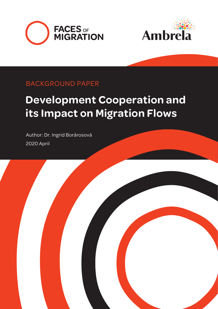



### BACKGROUND PAPER

## **Development Cooperation and its Impact on Migration Flows**

2020 April Author: Dr. Ingrid Borárosová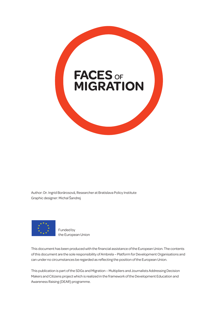

Author: Dr. Ingrid Borárosová, Researcher at Bratislava Policy Institute Graphic designer: Michal Šandrej



Funded by the European Union

This document has been produced with the financial assistance of the European Union. The contents of this document are the sole responsibility of Ambrela – Platform for Development Organisations and can under no circumstances be regarded as reflecting the position of the European Union.

This publication is part of the SDGs and Migration – Multipliers and Journalists Addressing Decision Makers and Citizens project which is realized in the framework of the Development Education and Awareness Raising (DEAR) programme.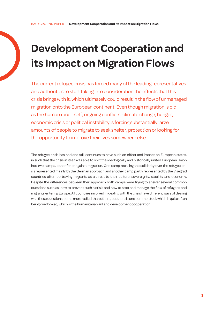## **Development Cooperation and its Impact on Migration Flows**

The current refugee crisis has forced many of the leading representatives and authorities to start taking into consideration the effects that this crisis brings with it, which ultimately could result in the flow of unmanaged migration onto the European continent. Even though migration is old as the human race itself, ongoing conflicts, climate change, hunger, economic crisis or political instability is forcing substantially large amounts of people to migrate to seek shelter, protection or looking for the opportunity to improve their lives somewhere else.

The refugee crisis has had and still continues to have such an effect and impact on European states, in such that the crisis in itself was able to split the ideologically and historically united European Union into two camps, either for or against migration. One camp recalling the solidarity over the refugee crisis represented mainly by the German approach and another camp partly represented by the Visegrad countries often portraying migrants as a threat to their culture, sovereignty, stability and economy. Despite the differences between their approach both camps were trying to answer several common questions such as, how to prevent such a crisis and how to stop and manage the flow of refugees and migrants entering Europe. All countries involved in dealing with the crisis have different ways of dealing with these questions, some more radical than others, but there is one common tool, which is quite often being overlooked, which is the humanitarian aid and development cooperation.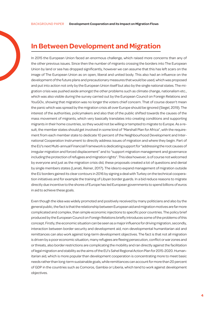#### **In Between Development and Migration**

In 2015 the European Union faced an enormous challenge, which raised more concerns than any of the other previous issues. Since then the number of migrants crossing the borders into The European Union by land or sea has dropped significantly, however we can assume that this has left scars on the image of The European Union as on open, liberal and united body. This also had an influence on the development of the future plans and precautionary measures that would be used, which was proposed and put into action not only by the European Union itself but also by the single national states. The migration crisis was pushed aside amongst the other problems such as climate change, nationalism etc., which was also visible during the survey carried out by the European Council on Foreign Relations and YouGOv, showing that migration was no longer the voters chief concern. That of course doesn't mean the panic which was spread by the migration crisis all over Europe should be ignored (Siegel, 2019). The interest of the authorities, policymakers and also that of the public shifted towards the causes of the mass movement of migrants, which very basically translates into creating conditions and supporting migrants in their home countries, so they would not be willing or tempted to migrate to Europe. As a result, the member states should get involved in some kind of "Marshall Plan for Africa", with the requirement from each member state to dedicate 10 percent of the Neighbourhood Development and International Cooperation Instrument to directly address issues of migration and where they begin. Part of the EU's next Multi-annual Financial Framework is dedicating support for "addressing the root causes of irregular migration and forced displacement" and to "support migration management and governance including the protection of refugees and migration rights". This idea however, is of course not welcomed by everyone and just as the migration crisis did, these proposals created a lot of questions and denial by single members states (Lanati, Reiner, 2017). The idea to expand management of migration outside the EU borders gained its clear contours in 2016 by signing a deal with Turkey on the technical cooperation initiatives and for example the training of Libyan border guards. In a bid reduce reasons to migrate directly due incentive to the shores of Europe has led European governments to spend billions of euros in aid to achieve these goals.

Even though the idea was widely promoted and positively received by many politicians and also by the general public, the fact is that the relationship between European aid and migration motives are far more complicated and complex, than simple economic injections to specific poor countries. The policy brief produced by the European Council on Foreign Relations briefly introduces some of the problems of this concept. Firstly, the economic situation can be seen as a major influence for driving migration, secondly, interaction between border security and development aid, non-developmental humanitarian aid and remittances can also work against long-term development objectives. The fact is that not all migration is driven by a poor economic situation, many refugees are fleeing persecution, conflict or war zones and or threats, also border restrictions are complicating the mobility and ran directly against the facilitation of legal migration and stability as the aims of the EU's Sahel Regional Action Plan for 2015-2020. Humanitarian aid, which is more popular than development cooperation is concentrating more to meet basic needs rather than long-term sustainable goals, while remittances can account for more than 20 percent of GDP in the countries such as Comoros, Gambia or Liberia, which tend to work against development objectives.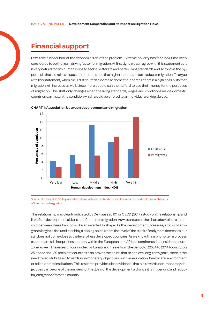#### **Financial support**

Let's take a closer look at the economic side of the problem. Extreme poverty has for a long time been considered to be the main driving factor for migration. At first sight, we can agree with this statement as it is very natural for any human being to seek a better life and better living standards and so follows the hypothesis that aid raises disposable incomes and that higher incomes in turn reduce emigration. To argue with this statement, when aid is distributed to increase domestic incomes, there is a high possibility that migration will increase as well, since more people can then afford to use their money for the purposes of migration. This shift only changes when the living standards, wages and conditions inside domestic countries can match the condition which would be offered to an individual working abroad.



**CHART 1: Association between development and migration**

Source: de Haas, H. 2010. Migration transitions: a theoretical and empirical inquiry into the developmental drivers of international migration.

This relationship was clearly indicated by De Haas (2010) or OECD (2017) study on the relationship and link of the development aid and its influence on migration. As we can see on the chart above the relationship between these two looks like an inverted U-shape. As the development increases, stocks of emigrants begin to rise until reaching a tipping point, where the level of the stock of emigrants decreases but still does not come close to the level of less developed countries. As we know, this is a long-term process as there are still inequalities not only within the European and African continents, but inside the eurozone as well. The research conducted by Lanati and Thiele from the period of 2004 to 2014 focusing on 25 donor and 129 recipient countries also proves the point, that to achieve long-term goals, there is the need to redistribute aid towards non-monetary objectives, such as education, healthcare, environment or reliable state institutions. This research provides clear evidence, that aid towards non-monetary objectives can be one of the answers for the goals of the development aid since it is influencing and reducing emigration from the country.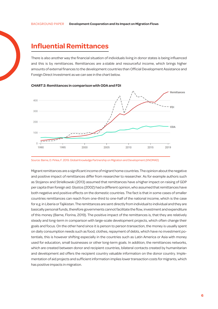#### **Influential Remittances**

There is also another way the financial situation of individuals living in donor states is being influenced and this is by remittances. Remittances are a stable and resourceful income, which brings higher amounts of external finances to the development countries than Official Development Assistance and Foreign Direct Investment as we can see in the chart below.





Migrant remittances are a significant income of migrant home countries. The opinion about the negative and positive impact of remittances differ from researcher to researcher. As for example authors such as Stojanov and Strielkowski (2013) assumed that remittances have a higher impact on raising of GDP per capita than foreign aid. Glystos (2002) had a different opinion, who assumed that remittances have both negative and positive effects on the domestic countries. The fact is that in some cases of smaller countries remittances can reach from one-third to one-half of the national income, which is the case for e.g. in Liberia or Tajikistan. The remittances are sent directly from individual to individual and they are basically personal funds, therefore governments cannot facilitate the flow, investment and expenditure of this money (Barne, Florina, 2019). The positive impact of the remittances is, that they are relatively steady and long-term in comparison with large-scale development projects, which often change their goals and focus. On the other hand since it is person to person transaction, the money is usually spent on daily consumption needs such as food, clothes, repayment of debts, which have no investment potentials, this is however shifting especially in the countries such as Latin America or Asia with money used for education, small businesses or other long-term goals. In addition, the remittances networks, which are created between donor and recipient countries, bilateral contacts created by humanitarian and development aid offers the recipient country valuable information on the donor country. Implementation of aid projects and sufficient information implies lower transaction costs for migrants, which has positive impacts in migration.

Source: Barne, D. Pirlea, F. 2019. Global Knowledge Partnership on Migration and Development (KNOMAD)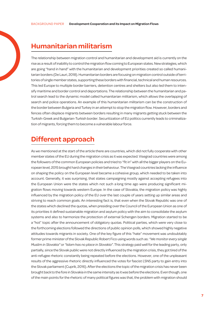#### **Humanitarian militarism**

The relationship between migration control and humanitarian and development aid is currently on the rise as a result of inability to control the migration flow coming to European states. New strategies, which are going "hand in hand" with the humanitarian and development priorities created so called humanitarian borders (De Lauri, 2018). Humanitarian borders are focusing on migration control outside of territories of single member states, supporting these borders with financial, technical and human resources. This led Europe to multiple border barriers, detention centres and shelters but also led them to intensify maritime and border control and deportations. The relationship between the humanitarian and patrol search lead to the dynamic model called humanitarian militarism, which allows the overlapping of search and police operations. An example of this humanitarian militarism can be the construction of the border between Bulgaria and Turkey in an attempt to stop the migration flow. However, borders and fences often displace migrants between borders resulting in many migrants getting stuck between the Turkish-Greek and Bulgarian-Turkish border. Securitization of EU politics currently leads to criminalization of migrants, forcing them to become a vulnerable labour force.

#### **Different approach**

As we mentioned at the start of the article there are countries, which did not fully cooperate with other member states of the EU during the migration crisis as it was expected. Visegrad countries were among the followers of the common European policies and tried to "fit in" with all the bigger players on the European level, 2015 brought hard changes in their behaviour. The Visegrad countries lacking the influence on shaping the policy on the European level became a cohesive group, which needed to be taken into account. Generally, it was surprising, that states campaigning mostly against accepting refugees into the European Union were the states which not such a long time ago were producing significant migration flows moving towards western Europe. In the case of Slovakia, the migration policy was highly influenced by the migration policy of the EU over the last couple of years setting up similar areas and striving to reach common goals. An interesting fact is, that even when the Slovak Republic was one of the states which declined the quotas, when presiding over the Council of the European Union as one of its priorities it defined sustainable migration and asylum policy with the aim to consolidate the asylum systems and also to harmonize the protection of external Schengen borders. Migration started to be a "hot" topic after the announcement of obligatory quotas. Political parties, which were very close to the forthcoming elections followed the directions of public opinion polls, which showed highly negative attitudes towards migrants in society. One of the key figure of this "hate" movement was undoubtably former prime minister of the Slovak Republic Robert Fico using words such as: *"We monitor every single Muslim in Slovakia"* or *"Islam has no place in Slovakia"*. This strategy paid well for the leading party, only partially, since the Slovak public were not directly influenced by the migration crisis, they got tired of the anti-refugee rhetoric constantly being repeated before the elections. However, one of the unpleasant results of the aggressive rhetoric directly influenced the votes for fascist ĽSNS party to gain entry into the Slovak parliament (Cuprik, 2016). After the elections the topic of the migration crisis has never been brought back to the fore in Slovakia in the same intensity as it was before the elections. Even though, one of the main points for the rhetoric of many political figures was that, the problem with migration should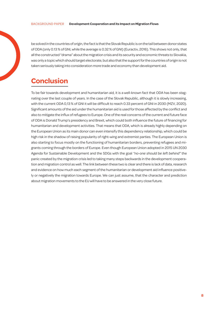be solved in the countries of origin, the fact is that the Slovak Republic is on the tail between donor states of ODA (only 0.13 % of GNI, while the average is 0.32 % of GNI) (Euractiv, 2016). This shows not only, that all the constructed "drama" about the migration crisis and its security and economic threats to Slovakia, was only a topic which should target electorate, but also that the support for the countries of origin is not taken seriously taking into consideration more trade and economy than development aid.

#### **Conclusion**

To be fair towards development and humanitarian aid, it is a well-known fact that ODA has been stagnating over the last couple of years. In the case of the Slovak Republic, although it is slowly increasing, with the current ODA 0,13 % of GNI it will be difficult to reach 0.33 percent of GNI in 2030 (MZV, 2020). Significant amounts of the aid under the humanitarian aid is used for those affected by the conflict and also to mitigate the influx of refugees to Europe. One of the real concerns of the current and future face of ODA is Donald Trump's presidency and Brexit, which could both influence the future of financing for humanitarian and development activities. That means that ODA, which is already highly depending on the European Union as its main donor can even intensify this dependency relationship, which could be high risk in the shadow of raising popularity of right-wing and extremist parties. The European Union is also starting to focus mostly on the functioning of humanitarian borders, preventing refugees and migrants coming through the borders of Europe. Even though European Union adopted in 2015 UN 2030 Agenda for Sustainable Development and the SDGs with the goal *"no-one should be left behind"* the panic created by the migration crisis led to taking many steps backwards in the development cooperation and migration control as well. The link between these two is clear and there is lack of data, research and evidence on how much each segment of the humanitarian or development aid influence positively or negatively the migration towards Europe. We can just assume, that the character and prediction about migration movements to the EU will have to be answered in the very close future.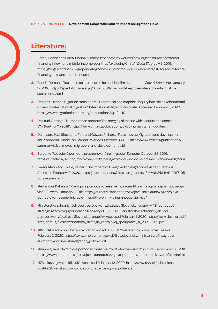#### **Literature:**

- **1.** Barne, Donna and Pirlea, Florina. "Money sent home by workers now largest source of external financing in low- and middle-income countries (excluding China)" *Data Blog.* July 2, 2019. https://blogs.worldbank.org/opendata/money-sent-home-workers-now-largest-source-externalfinancing-low-and-middle-income
- **2.** Cuprik, Roman. "Fico could be prosecuted for anti-Muslim statements" *Slovak Spectator*. January 12, 2016. https://spectator.sme.sk/c/20071550/fico-could-be-prosecuted-for-anti-muslimstatements.html
- **3.** De Haas, Hanns. "Migration transitions: Atheoretical and empirical inquiry into the developmental drivers of international migration" International Migration Institute. Accessed February 3, 2020. https://www.migrationinstitute.org/publications/wp-24-10
- **4.** De Lauri, Antonio. "Humanitarian borders: The merging of rescue with security and control" *CMI Brief* no. 11 (2018). https://www.cmi.no/publications/6705-humanitarian-borders
- **5.** Dennison, Susi. Shoshana, Fine and Gowan, Richard. "False moves: Migration and development aid" *European Council on Foreign Relations.* October 8, 2019. https://www.ecfr.eu/publications/ summary/false\_moves\_migration\_and\_development\_aid
- **6.** Euractiv. "Rozvojová pomoc je presmerovaná na migráciu" *Euractiv.* October 28, 2016. https://euractiv.sk/section/rozvojova-politika/news/rozvojova-pomoc-je-presmerovana-na-migraciu/
- **7.** Lanati, Mario and Thiele, Reiner. "The impact of foreign aid on migration revisited" Cadmus. Accessed February 12, 2020. https://cadmus.eui.eu/bitstream/handle/1814/46124/MWP\_2017\_05. pdf?sequence=1
- **8.** Mertanová, Katarína. "Rozvojová pomoc ako riešenie migrácie? Migranti svojim krajinám posielajú viac" *Euractiv*. January 3, 2018. https://euractiv.sk/section/rozvojova-politika/news/rozvojovapomoc-ako-riesenie-migracie-migranti-svojim-krajinam-posielaju-viac/
- **9.** Ministerstvo zahraničných vecí a európskych záležitostí Slovenskej republiky. "Strednodobá stratégia rozvojovej spolupráce SR na roky 2019 – 2023" Ministerstvo zahraničných vecí a európskych záležitostí Slovenskej republiky. Accessed February 1. 2020. https://www.slovakaid.sk/ sites/default/files/strednodoba\_strategia\_rozvojovej\_spoluprace\_sr\_2019-2023.pdf
- **10.** MINV. "Migračná politika SR s výhľadom do roku 2020" Ministerstvo vnútra SR. Accessed February 2. 2020. https://www.employment.gov.sk/files/slovensky/ministerstvo/integraciacudzincov/dokumenty/migracna\_politika.pdf
- **11.** Murínová, Jana. "Rozvojová pomoc sa môže realizovať efektívnejšie" *Prohuman*. September20, 2012. https://www.prohuman.sk/rozvojova-pomoc/rozvojova-pomoc-sa-moze-realizovat-efektivnejsie
- **12.** MZV. "Rozvojová politika SR". Accessed February 12, 2020. https://www.mzv.sk/zahranicna\_ politika/slovenska\_rozvojova\_spolupraca-rozvojova\_politika\_sr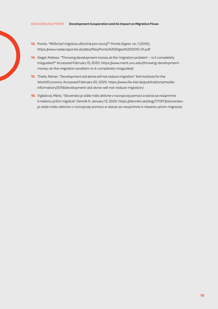- **13.** Pontis. "Môže byť migrácia užitočná pre rozvoj?" *Pontis Digest*. no. 1 (2016). https://www.nadaciapontis.sk/data/files/Pontis%20Digest%202016-01.pdf
- **14.** Siegel, Melissa. "Throwing development money at the 'migration problem' is it completely misguided?" Accessed February 15, 2020. https://www.merit.unu.edu/throwing-developmentmoney-at-the-migration-problem-is-it-completely-misguided/
- **15.** Thiele, Rainer. "Development aid alone will not reduce migration" Kiel Institute for the World Economy. Accessed February 20, 2020. https://www.ifw-kiel.de/publications/mediainformation/2019/development-aid-alone-will-not-reduce-migration/
- **16.** Viglašová, Mária. "Slovensko je stále málo aktívne v rozvojovej pomoci a stavia sa neúprimne k riešeniu príčin migrácie" *DenníkN.* January 12, 2020. https://dennikn.sk/blog/1711973/slovenskoje-stale-malo-aktivne-v-rozvojovej-pomoci-a-stavia-sa-neuprimne-k-rieseniu-pricin-migracie/